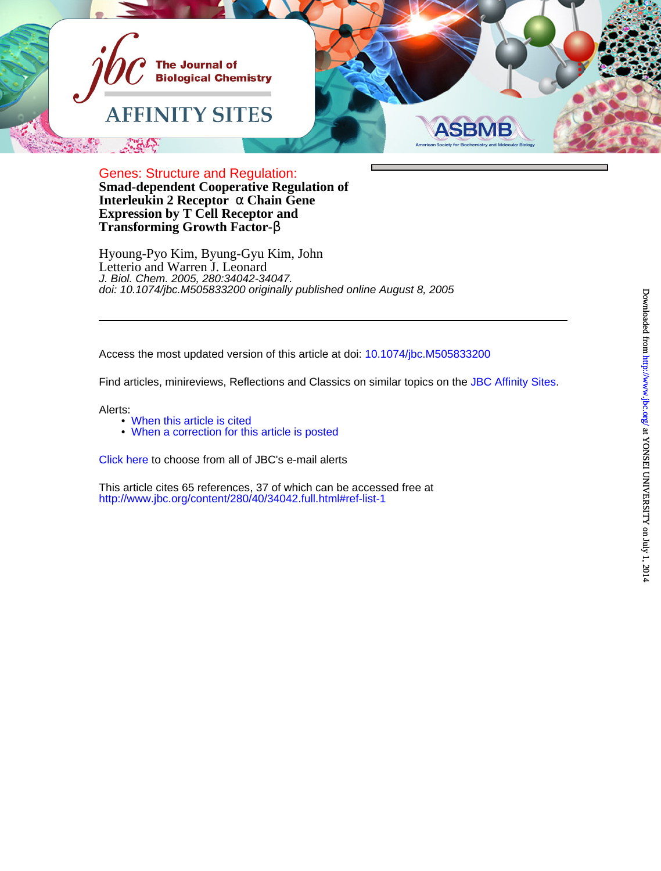

**Transforming Growth Factor-**β **Expression by T Cell Receptor and Interleukin 2 Receptor** α **Chain Gene Smad-dependent Cooperative Regulation of** Genes: Structure and Regulation:

Letterio and Warren J. Leonard Hyoung-Pyo Kim, Byung-Gyu Kim, John doi: 10.1074/jbc.M505833200 originally published online August 8, 2005 J. Biol. Chem. 2005, 280:34042-34047.

Access the most updated version of this article at doi: [10.1074/jbc.M505833200](http://www.jbc.org/lookup/doi/10.1074/jbc.M505833200)

Find articles, minireviews, Reflections and Classics on similar topics on the [JBC Affinity Sites.](http://affinity.jbc.org)

Alerts:

- [When this article is cited](http://www.jbc.org/cgi/alerts?alertType=citedby&addAlert=cited_by&cited_by_criteria_resid=jbc;280/40/34042&saveAlert=no&return-type=article&return_url=http://www.jbc.org/content/280/40/34042)
- [When a correction for this article is posted](http://www.jbc.org/cgi/alerts?alertType=correction&addAlert=correction&correction_criteria_value=280/40/34042&saveAlert=no&return-type=article&return_url=http://www.jbc.org/content/280/40/34042)

[Click here](http://www.jbc.org/cgi/alerts/etoc) to choose from all of JBC's e-mail alerts

<http://www.jbc.org/content/280/40/34042.full.html#ref-list-1> This article cites 65 references, 37 of which can be accessed free at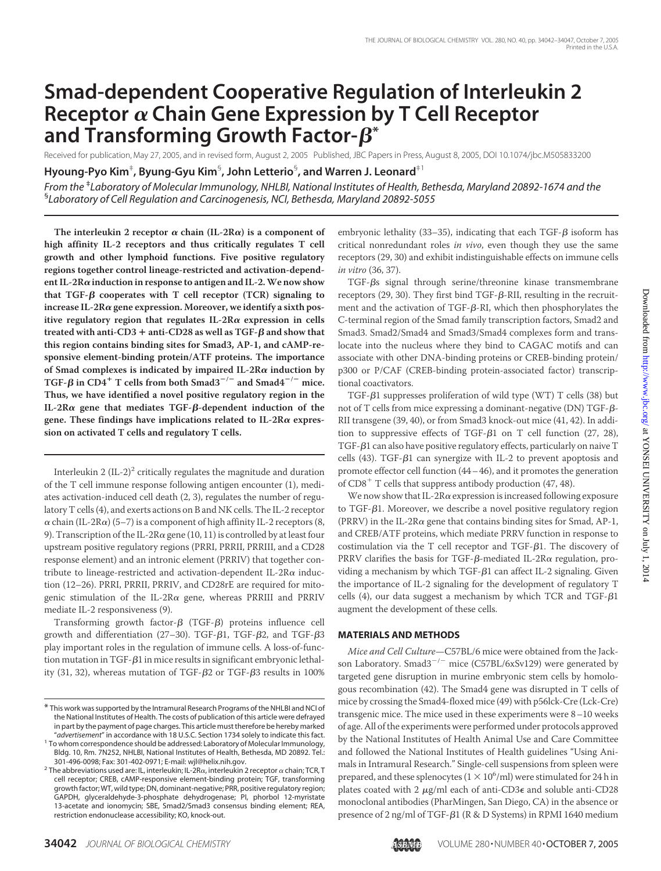# **Smad-dependent Cooperative Regulation of Interleukin 2 Receptor Chain Gene Expression by T Cell Receptor** and  $\mathsf{Transforming}$  Growth  $\mathsf{Factor}\text{-}\bm{\beta}^*$

Received for publication, May 27, 2005, and in revised form, August 2, 2005 Published, JBC Papers in Press, August 8, 2005, DOI 10.1074/jbc.M505833200

**Hyoung-Pyo Kim**‡ **, Byung-Gyu Kim**§ **, John Letterio**§ **, and Warren J. Leonard**‡1

*From the* ‡ *Laboratory of Molecular Immunology, NHLBI, National Institutes of Health, Bethesda, Maryland 20892-1674 and the* § *Laboratory of Cell Regulation and Carcinogenesis, NCI, Bethesda, Maryland 20892-5055*

The interleukin 2 receptor  $\alpha$  chain (IL-2R $\alpha$ ) is a component of **high affinity IL-2 receptors and thus critically regulates T cell growth and other lymphoid functions. Five positive regulatory regions together control lineage-restricted and activation-dependent IL-2Rinduction in response to antigen and IL-2.We now show that TGF-β cooperates with T cell receptor (TCR) signaling to** increase IL-2R $\alpha$  gene expression. Moreover, we identify a sixth positive regulatory region that regulates  $IL-2R\alpha$  expression in cells  ${\rm treated}$  with anti-CD3  $+$  anti-CD28 as well as TGF- $\beta$  and show that **this region contains binding sites for Smad3, AP-1, and cAMP-responsive element-binding protein/ATF proteins. The importance** of Smad complexes is indicated by impaired IL-2R $\alpha$  induction by TGF- $\beta$  in CD4<sup>+</sup> T cells from both Smad3<sup>-/-</sup> and Smad4<sup>-/-</sup> mice. **Thus, we have identified a novel positive regulatory region in the IL-2Rα gene that mediates TGF-β-dependent induction of the** gene. These findings have implications related to  $IL-2R\alpha$  expres**sion on activated T cells and regulatory T cells.**

Interleukin 2  $(IL-2)^2$  critically regulates the magnitude and duration of the T cell immune response following antigen encounter (1), mediates activation-induced cell death (2, 3), regulates the number of regulatory T cells (4), and exerts actions on B and NK cells. The IL-2 receptor  $\alpha$  chain (IL-2R $\alpha$ ) (5–7) is a component of high affinity IL-2 receptors (8, 9). Transcription of the IL-2R $\alpha$  gene (10, 11) is controlled by at least four upstream positive regulatory regions (PRRI, PRRII, PRRIII, and a CD28 response element) and an intronic element (PRRIV) that together contribute to lineage-restricted and activation-dependent IL-2R $\alpha$  induction (12–26). PRRI, PRRII, PRRIV, and CD28rE are required for mitogenic stimulation of the IL-2R $\alpha$  gene, whereas PRRIII and PRRIV mediate IL-2 responsiveness (9).

Transforming growth factor- $\beta$  (TGF- $\beta$ ) proteins influence cell growth and differentiation (27–30). TGF- $\beta$ 1, TGF- $\beta$ 2, and TGF- $\beta$ 3 play important roles in the regulation of immune cells. A loss-of-function mutation in TGF- $\beta$ 1 in mice results in significant embryonic lethality (31, 32), whereas mutation of TGF- $\beta$ 2 or TGF- $\beta$ 3 results in 100%

embryonic lethality (33–35), indicating that each TGF- $\beta$  isoform has critical nonredundant roles *in vivo*, even though they use the same receptors (29, 30) and exhibit indistinguishable effects on immune cells *in vitro* (36, 37).

TGF-βs signal through serine/threonine kinase transmembrane receptors (29, 30). They first bind  $TGF$ - $\beta$ -RII, resulting in the recruitment and the activation of TGF- $\beta$ -RI, which then phosphorylates the C-terminal region of the Smad family transcription factors, Smad2 and Smad3. Smad2/Smad4 and Smad3/Smad4 complexes form and translocate into the nucleus where they bind to CAGAC motifs and can associate with other DNA-binding proteins or CREB-binding protein/ p300 or P/CAF (CREB-binding protein-associated factor) transcriptional coactivators.

 $TGF-\beta1$  suppresses proliferation of wild type (WT) T cells (38) but not of T cells from mice expressing a dominant-negative (DN) TGF- $\beta$ -RII transgene (39, 40), or from Smad3 knock-out mice (41, 42). In addition to suppressive effects of TGF- $\beta$ 1 on T cell function (27, 28), TGF- $\beta$ 1 can also have positive regulatory effects, particularly on naive T cells (43). TGF- $\beta$ 1 can synergize with IL-2 to prevent apoptosis and promote effector cell function (44–46), and it promotes the generation of  $CD8<sup>+</sup>$  T cells that suppress antibody production (47, 48).

We now show that IL-2R $\alpha$  expression is increased following exposure to TGF- $\beta$ 1. Moreover, we describe a novel positive regulatory region (PRRV) in the IL-2R $\alpha$  gene that contains binding sites for Smad, AP-1, and CREB/ATF proteins, which mediate PRRV function in response to costimulation via the  $T$  cell receptor and  $TGF- $\beta$ 1. The discovery of$ PRRV clarifies the basis for TGF- $\beta$ -mediated IL-2R $\alpha$  regulation, providing a mechanism by which TGF- $\beta$ 1 can affect IL-2 signaling. Given the importance of IL-2 signaling for the development of regulatory T cells (4), our data suggest a mechanism by which TCR and TGF- $\beta$ 1 augment the development of these cells.

## **MATERIALS AND METHODS**

*Mice and Cell Culture*—C57BL/6 mice were obtained from the Jackson Laboratory. Smad3<sup>-/-</sup> mice (C57BL/6xSv129) were generated by targeted gene disruption in murine embryonic stem cells by homologous recombination (42). The Smad4 gene was disrupted in T cells of mice by crossing the Smad4-floxed mice (49) with p56lck-Cre (Lck-Cre) transgenic mice. The mice used in these experiments were 8–10 weeks of age. All of the experiments were performed under protocols approved by the National Institutes of Health Animal Use and Care Committee and followed the National Institutes of Health guidelines "Using Animals in Intramural Research." Single-cell suspensions from spleen were prepared, and these splenocytes ( $1 \times 10^6$ /ml) were stimulated for 24 h in plates coated with 2  $\mu$ g/ml each of anti-CD3 $\epsilon$  and soluble anti-CD28 monoclonal antibodies (PharMingen, San Diego, CA) in the absence or presence of 2 ng/ml of TGF-β1 (R & D Systems) in RPMI 1640 medium



<sup>\*</sup> This work was supported by the Intramural Research Programs of the NHLBI and NCI of the National Institutes of Health. The costs of publication of this article were defrayed in part by the payment of page charges. This article must therefore be hereby marked<br>"advertisement" in accordance with 18 U.S.C. Section 1734 solely to indicate this fact.

advertisement" in accordance with 18 U.S.C. Section 1734 solely to indicate this fact."<br>To whom correspondence should be addressed: Laboratory of Molecular Immunology,<br>Bldg. 10, Rm. 7N252, NHLBI, National Institutes of Hea

<sup>301-496-0098;</sup> Fax: 301-402-0971; E-mail: wjl@helix.nih.gov.<br><sup>2</sup> The abbreviations used are: IL, interleukin; IL-2R $\alpha$ , interleukin 2 receptor  $\alpha$  chain; TCR, T cell receptor; CREB, cAMP-responsive element-binding protein; TGF, transforming growth factor; WT, wild type; DN, dominant-negative; PRR, positive regulatory region; GAPDH, glyceraldehyde-3-phosphate dehydrogenase; PI, phorbol 12-myristate 13-acetate and ionomycin; SBE, Smad2/Smad3 consensus binding element; REA, restriction endonuclease accessibility; KO, knock-out.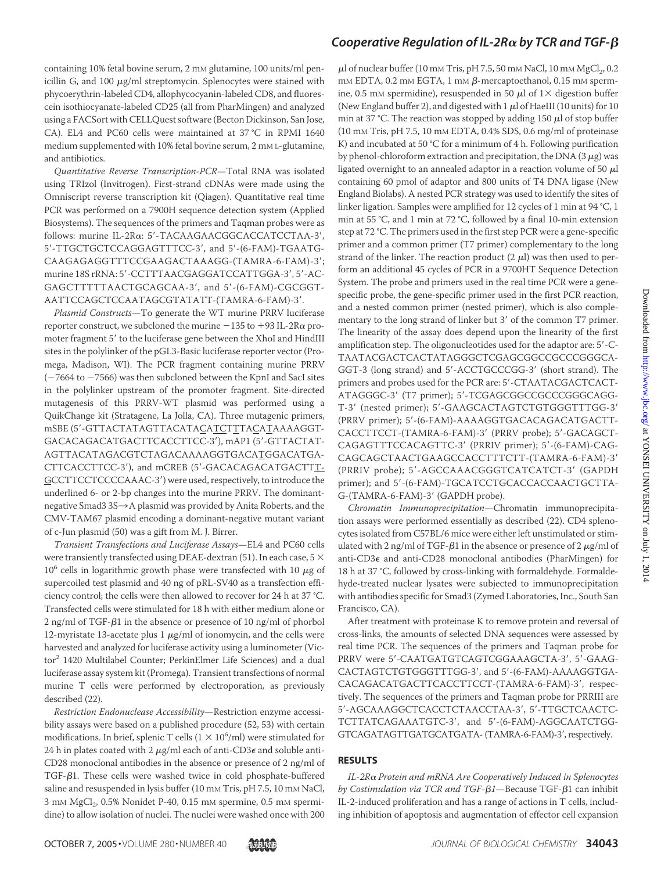containing 10% fetal bovine serum, 2 mM glutamine, 100 units/ml penicillin G, and 100  $\mu$ g/ml streptomycin. Splenocytes were stained with phycoerythrin-labeled CD4, allophycocyanin-labeled CD8, and fluorescein isothiocyanate-labeled CD25 (all from PharMingen) and analyzed using a FACSort with CELLQuest software (Becton Dickinson, San Jose, CA). EL4 and PC60 cells were maintained at 37 °C in RPMI 1640 medium supplemented with 10% fetal bovine serum, 2 mM L-glutamine, and antibiotics.

*Quantitative Reverse Transcription-PCR*—Total RNA was isolated using TRIzol (Invitrogen). First-strand cDNAs were made using the Omniscript reverse transcription kit (Qiagen). Quantitative real time PCR was performed on a 7900H sequence detection system (Applied Biosystems). The sequences of the primers and Taqman probes were as follows: murine IL-2Ra: 5'-TACAAGAACGGCACCATCCTAA-3', 5'-TTGCTGCTCCAGGAGTTTCC-3', and 5'-(6-FAM)-TGAATG-CAAGAGAGGTTTCCGAAGACTAAAGG-(TAMRA-6-FAM)-3; murine 18S rRNA: 5'-CCTTTAACGAGGATCCATTGGA-3', 5'-AC-GAGCTTTTTAACTGCAGCAA-3', and 5'-(6-FAM)-CGCGGT-AATTCCAGCTCCAATAGCGTATATT-(TAMRA-6-FAM)-3.

*Plasmid Constructs*—To generate the WT murine PRRV luciferase reporter construct, we subcloned the murine  $-135$  to  $+93$  IL-2R $\alpha$  promoter fragment 5' to the luciferase gene between the XhoI and HindIII sites in the polylinker of the pGL3-Basic luciferase reporter vector (Promega, Madison, WI). The PCR fragment containing murine PRRV  $(-7664$  to  $-7566)$  was then subcloned between the KpnI and SacI sites in the polylinker upstream of the promoter fragment. Site-directed mutagenesis of this PRRV-WT plasmid was performed using a QuikChange kit (Stratagene, La Jolla, CA). Three mutagenic primers, mSBE (5'-GTTACTATAGTTACATACATCTTTACATAAAAGGT-GACACAGACATGACTTCACCTTCC-3), mAP1 (5-GTTACTAT-AGTTACATAGACGTCTAGACAAAAGGTGACATGGACATGA-CTTCACCTTCC-3'), and mCREB (5'-GACACAGACATGACTTT-GCCTTCCTCCCCAAAC-3') were used, respectively, to introduce the underlined 6- or 2-bp changes into the murine PRRV. The dominantnegative Smad3 3S $\rightarrow$  A plasmid was provided by Anita Roberts, and the CMV-TAM67 plasmid encoding a dominant-negative mutant variant of c-Jun plasmid (50) was a gift from M. J. Birrer.

*Transient Transfections and Luciferase Assays*—EL4 and PC60 cells were transiently transfected using DEAE-dextran (51). In each case, 5  $\times$  $10^6$  cells in logarithmic growth phase were transfected with 10  $\mu$ g of supercoiled test plasmid and 40 ng of pRL-SV40 as a transfection efficiency control; the cells were then allowed to recover for 24 h at 37 °C. Transfected cells were stimulated for 18 h with either medium alone or  $2$  ng/ml of TGF- $\beta$ 1 in the absence or presence of 10 ng/ml of phorbol 12-myristate 13-acetate plus 1  $\mu$ g/ml of ionomycin, and the cells were harvested and analyzed for luciferase activity using a luminometer (Victor<sup>2</sup> 1420 Multilabel Counter; PerkinElmer Life Sciences) and a dual luciferase assay system kit (Promega). Transient transfections of normal murine T cells were performed by electroporation, as previously described (22).

*Restriction Endonuclease Accessibility*—Restriction enzyme accessibility assays were based on a published procedure (52, 53) with certain modifications. In brief, splenic T cells  $(1 \times 10^6/\text{ml})$  were stimulated for 24 h in plates coated with 2  $\mu$ g/ml each of anti-CD3 $\epsilon$  and soluble anti-CD28 monoclonal antibodies in the absence or presence of 2 ng/ml of TGF- $\beta$ 1. These cells were washed twice in cold phosphate-buffered saline and resuspended in lysis buffer (10 mm Tris, pH 7.5, 10 mm NaCl, 3 mM  $MgCl<sub>2</sub>$ , 0.5% Nonidet P-40, 0.15 mM spermine, 0.5 mM spermidine) to allow isolation of nuclei. The nuclei were washed once with 200

## Cooperative Regulation of IL-2R $\alpha$  by TCR and TGF- $\beta$

 $\mu$ l of nuclear buffer (10 mm Tris, pH 7.5, 50 mm NaCl, 10 mm MgCl<sub>2</sub>, 0.2  $\text{mM}$  EDTA, 0.2  $\text{mM}$  EGTA, 1  $\text{mM}$   $\beta$ -mercaptoethanol, 0.15  $\text{mM}$  spermine, 0.5 mM spermidine), resuspended in 50  $\mu$ l of 1× digestion buffer (New England buffer 2), and digested with  $1 \mu$ l of HaeIII (10 units) for 10 min at 37 °C. The reaction was stopped by adding 150  $\mu$ l of stop buffer (10 mM Tris, pH 7.5, 10 mM EDTA, 0.4% SDS, 0.6 mg/ml of proteinase K) and incubated at 50 °C for a minimum of 4 h. Following purification by phenol-chloroform extraction and precipitation, the DNA  $(3 \mu g)$  was ligated overnight to an annealed adaptor in a reaction volume of 50  $\mu$ l containing 60 pmol of adaptor and 800 units of T4 DNA ligase (New England Biolabs). A nested PCR strategy was used to identify the sites of linker ligation. Samples were amplified for 12 cycles of 1 min at 94 °C, 1 min at 55 °C, and 1 min at 72 °C, followed by a final 10-min extension step at 72 °C. The primers used in the first step PCR were a gene-specific primer and a common primer (T7 primer) complementary to the long strand of the linker. The reaction product  $(2 \mu l)$  was then used to perform an additional 45 cycles of PCR in a 9700HT Sequence Detection System. The probe and primers used in the real time PCR were a genespecific probe, the gene-specific primer used in the first PCR reaction, and a nested common primer (nested primer), which is also complementary to the long strand of linker but 3' of the common T7 primer. The linearity of the assay does depend upon the linearity of the first amplification step. The oligonucleotides used for the adaptor are: 5'-C-TAATACGACTCACTATAGGGCTCGAGCGGCCGCCCGGGCA-GGT-3 (long strand) and 5-ACCTGCCCGG-3 (short strand). The primers and probes used for the PCR are: 5'-CTAATACGACTCACT-ATAGGGC-3' (T7 primer); 5'-TCGAGCGGCCGCCCGGGCAGG-T-3' (nested primer); 5'-GAAGCACTAGTCTGTGGGTTTGG-3' (PRRV primer); 5'-(6-FAM)-AAAAGGTGACACAGACATGACTT-CACCTTCCT-(TAMRA-6-FAM)-3' (PRRV probe); 5'-GACAGCT-CAGAGTTTCCACAGTTC-3' (PRRIV primer); 5'-(6-FAM)-CAG-CAGCAGCTAACTGAAGCCACCTTTCTT-(TAMRA-6-FAM)-3 (PRRIV probe); 5'-AGCCAAACGGGTCATCATCT-3' (GAPDH primer); and 5'-(6-FAM)-TGCATCCTGCACCACCAACTGCTTA-G-(TAMRA-6-FAM)-3 (GAPDH probe).

*Chromatin Immunoprecipitation*—Chromatin immunoprecipitation assays were performed essentially as described (22). CD4 splenocytes isolated from C57BL/6 mice were either left unstimulated or stimulated with 2 ng/ml of TGF- $\beta$ 1 in the absence or presence of 2  $\mu$ g/ml of anti-CD3 $\epsilon$  and anti-CD28 monoclonal antibodies (PharMingen) for 18 h at 37 °C, followed by cross-linking with formaldehyde. Formaldehyde-treated nuclear lysates were subjected to immunoprecipitation with antibodies specific for Smad3 (Zymed Laboratories, Inc., South San Francisco, CA).

After treatment with proteinase K to remove protein and reversal of cross-links, the amounts of selected DNA sequences were assessed by real time PCR. The sequences of the primers and Taqman probe for PRRV were 5'-CAATGATGTCAGTCGGAAAGCTA-3', 5'-GAAG-CACTAGTCTGTGGGTTTGG-3', and 5'-(6-FAM)-AAAAGGTGA-CACAGACATGACTTCACCTTCCT-(TAMRA-6-FAM)-3', respectively. The sequences of the primers and Taqman probe for PRRIII are 5-AGCAAAGGCTCACCTCTAACCTAA-3, 5-TTGCTCAACTC-TCTTATCAGAAATGTC-3', and 5'-(6-FAM)-AGGCAATCTGG-GTCAGATAGTTGATGCATGATA- (TAMRA-6-FAM)-3', respectively.

### **RESULTS**

*IL-2R Protein and mRNA Are Cooperatively Induced in Splenocytes by Costimulation via TCR and TGF-β1—*Because TGF-β1 can inhibit IL-2-induced proliferation and has a range of actions in T cells, including inhibition of apoptosis and augmentation of effector cell expansion

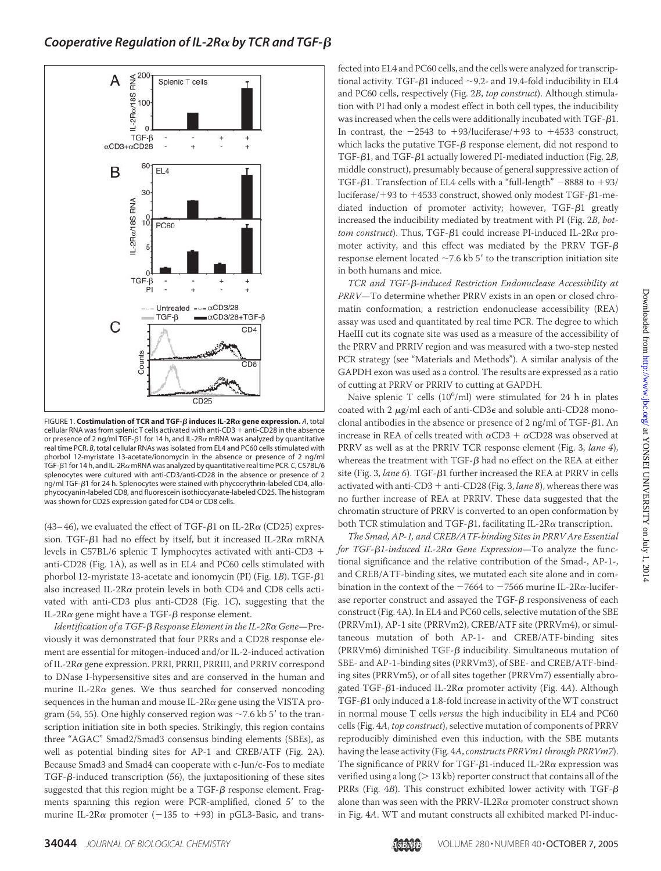

**FIGURE 1. Costimulation of TCR and TGF-β induces IL-2Rα gene expression.** A, total cellular RNA was from splenic T cells activated with anti-CD3  $+$  anti-CD28 in the absence or presence of 2 ng/ml TGF- $\beta$ 1 for 14 h, and IL-2R $\alpha$  mRNA was analyzed by quantitative real time PCR. *B*, total cellular RNAs was isolated from EL4 and PC60 cells stimulated with phorbol 12-myristate 13-acetate/ionomycin in the absence or presence of 2 ng/ml TGF-β1 for 14 h, and IL-2Rα mRNA was analyzed by quantitative real time PCR. *C*, C57BL/6 splenocytes were cultured with anti-CD3/anti-CD28 in the absence or presence of 2 ng/ml TGF- $\beta$ 1 for 24 h. Splenocytes were stained with phycoerythrin-labeled CD4, allophycocyanin-labeled CD8, and fluorescein isothiocyanate-labeled CD25. The histogram was shown for CD25 expression gated for CD4 or CD8 cells.

(43–46), we evaluated the effect of TGF- $\beta$ 1 on IL-2R $\alpha$  (CD25) expression. TGF- $\beta$ 1 had no effect by itself, but it increased IL-2R $\alpha$  mRNA levels in C57BL/6 splenic T lymphocytes activated with anti-CD3 anti-CD28 (Fig. 1A), as well as in EL4 and PC60 cells stimulated with phorbol 12-myristate 13-acetate and ionomycin (PI) (Fig. 1*B*). TGF-β1 also increased IL-2R $\alpha$  protein levels in both CD4 and CD8 cells activated with anti-CD3 plus anti-CD28 (Fig. 1*C*), suggesting that the IL-2R $\alpha$  gene might have a TGF- $\beta$  response element.

Identification of a TGF-β Response Element in the IL-2Rα Gene—Previously it was demonstrated that four PRRs and a CD28 response element are essential for mitogen-induced and/or IL-2-induced activation of IL-2R gene expression. PRRI, PRRII, PRRIII, and PRRIV correspond to DNase I-hypersensitive sites and are conserved in the human and murine IL-2R $\alpha$  genes. We thus searched for conserved noncoding sequences in the human and mouse IL-2R $\alpha$  gene using the VISTA program (54, 55). One highly conserved region was  $\sim$  7.6 kb 5' to the transcription initiation site in both species. Strikingly, this region contains three "AGAC" Smad2/Smad3 consensus binding elements (SBEs), as well as potential binding sites for AP-1 and CREB/ATF (Fig. 2A). Because Smad3 and Smad4 can cooperate with c-Jun/c-Fos to mediate  $TGF-\beta$ -induced transcription (56), the juxtapositioning of these sites suggested that this region might be a TGF- $\beta$  response element. Fragments spanning this region were PCR-amplified, cloned 5' to the murine IL-2R $\alpha$  promoter ( $-135$  to  $+93$ ) in pGL3-Basic, and transfected into EL4 and PC60 cells, and the cells were analyzed for transcriptional activity. TGF- $\beta$ 1 induced  $\sim$ 9.2- and 19.4-fold inducibility in EL4 and PC60 cells, respectively (Fig. 2*B*, *top construct*). Although stimulation with PI had only a modest effect in both cell types, the inducibility was increased when the cells were additionally incubated with  $TGF$ - $\beta1$ . In contrast, the  $-2543$  to  $+93/l$ uciferase/ $+93$  to  $+4533$  construct, which lacks the putative TGF- $\beta$  response element, did not respond to TGF- $\beta$ 1, and TGF- $\beta$ 1 actually lowered PI-mediated induction (Fig. 2*B*, middle construct), presumably because of general suppressive action of TGF- $\beta$ 1. Transfection of EL4 cells with a "full-length"  $-8888$  to  $+93/$ luciferase/+93 to +4533 construct, showed only modest TGF- $\beta$ 1-mediated induction of promoter activity; however,  $TGF- $\beta$ 1 greatly$ increased the inducibility mediated by treatment with PI (Fig. 2*B*, *bottom construct*). Thus, TGF-β1 could increase PI-induced IL-2Rα promoter activity, and this effect was mediated by the PRRV TGF- $\beta$ response element located  $\sim$  7.6 kb 5' to the transcription initiation site in both humans and mice.

TCR and TGF- $\beta$ -induced Restriction Endonuclease Accessibility at *PRRV*—To determine whether PRRV exists in an open or closed chromatin conformation, a restriction endonuclease accessibility (REA) assay was used and quantitated by real time PCR. The degree to which HaeIII cut its cognate site was used as a measure of the accessibility of the PRRV and PRRIV region and was measured with a two-step nested PCR strategy (see "Materials and Methods"). A similar analysis of the GAPDH exon was used as a control. The results are expressed as a ratio of cutting at PRRV or PRRIV to cutting at GAPDH.

Naive splenic T cells (10<sup>6</sup>/ml) were stimulated for 24 h in plates coated with 2  $\mu$ g/ml each of anti-CD3 $\epsilon$  and soluble anti-CD28 monoclonal antibodies in the absence or presence of 2 ng/ml of  $TGF- $\beta$ 1. An$ increase in REA of cells treated with  $\alpha$ CD3 +  $\alpha$ CD28 was observed at PRRV as well as at the PRRIV TCR response element (Fig. 3, *lane 4*), whereas the treatment with TGF- $\beta$  had no effect on the REA at either site (Fig. 3, lane 6). TGF- $\beta$ 1 further increased the REA at PRRV in cells activated with anti-CD3 + anti-CD28 (Fig. 3, *lane 8*), whereas there was no further increase of REA at PRRIV. These data suggested that the chromatin structure of PRRV is converted to an open conformation by both TCR stimulation and TGF- $\beta$ 1, facilitating IL-2R $\alpha$  transcription.

*The Smad, AP-1, and CREB/ATF-binding Sites in PRRV Are Essential for TGF-β1-induced IL-2Rα Gene Expression*—To analyze the functional significance and the relative contribution of the Smad-, AP-1-, and CREB/ATF-binding sites, we mutated each site alone and in combination in the context of the  $-7664$  to  $-7566$  murine IL-2R $\alpha$ -luciferase reporter construct and assayed the TGF- $\beta$  responsiveness of each construct (Fig. 4A). In EL4 and PC60 cells, selective mutation of the SBE (PRRVm1), AP-1 site (PRRVm2), CREB/ATF site (PRRVm4), or simultaneous mutation of both AP-1- and CREB/ATF-binding sites  $(PRRVm6)$  diminished TGF- $\beta$  inducibility. Simultaneous mutation of SBE- and AP-1-binding sites (PRRVm3), of SBE- and CREB/ATF-binding sites (PRRVm5), or of all sites together (PRRVm7) essentially abrogated TGF- $\beta$ 1-induced IL-2R $\alpha$  promoter activity (Fig. 4*A*). Although  $TGF-\beta 1$  only induced a 1.8-fold increase in activity of the WT construct in normal mouse T cells *versus* the high inducibility in EL4 and PC60 cells (Fig. 4*A*, *top construct*), selective mutation of components of PRRV reproducibly diminished even this induction, with the SBE mutants having the lease activity (Fig. 4*A*, *constructs PRRVm1 through PRRVm7*). The significance of PRRV for TGF- $\beta$ 1-induced IL-2R $\alpha$  expression was verified using a long ( $> 13$  kb) reporter construct that contains all of the PRRs (Fig.  $4B$ ). This construct exhibited lower activity with TGF- $\beta$ alone than was seen with the PRRV-IL2R $\alpha$  promoter construct shown in Fig. 4*A*. WT and mutant constructs all exhibited marked PI-induc-

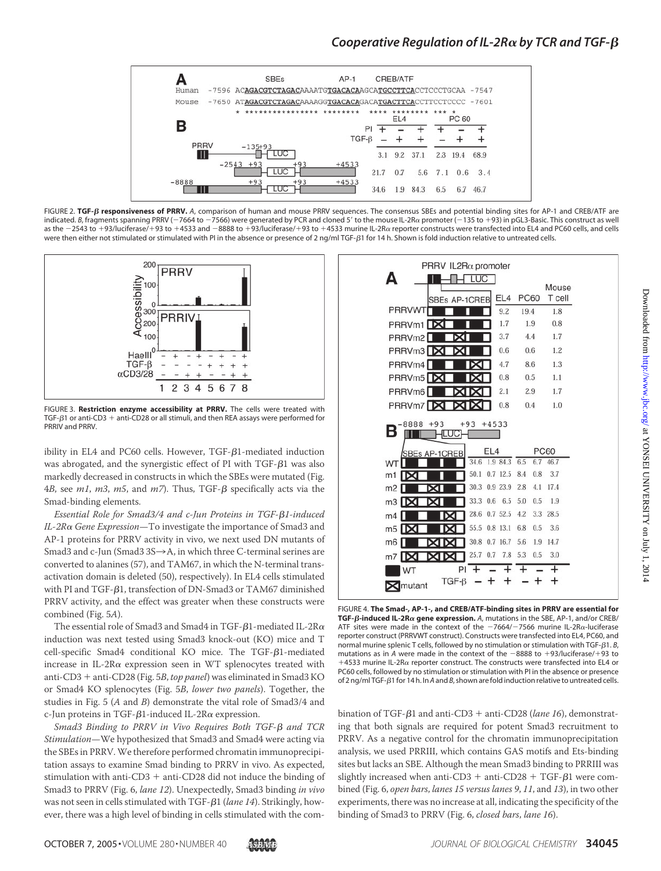

FIGURE 2. TGF- $\beta$  responsiveness of PRRV. A, comparison of human and mouse PRRV sequences. The consensus SBEs and potential binding sites for AP-1 and CREB/ATF are indicated. *B*, fragments spanning PRRV (-7664 to -7566) were generated by PCR and cloned 5' to the mouse IL-2Rα promoter (-135 to +93) in pGL3-Basic. This construct as well as the -2543 to +93/luciferase/+93 to +4533 and -8888 to +93/luciferase/+93 to +4533 murine IL-2R $\alpha$  reporter constructs were transfected into EL4 and PC60 cells, and cells were then either not stimulated or stimulated with PI in the absence or presence of 2 ng/ml TGF-ß1 for 14 h. Shown is fold induction relative to untreated cells.



FIGURE 3. **Restriction enzyme accessibility at PRRV.** The cells were treated with TGF- $\beta$ 1 or anti-CD3 + anti-CD28 or all stimuli, and then REA assays were performed for PRRIV and PRRV.

ibility in EL4 and PC60 cells. However,  $TGF- $\beta$ 1-mediated induction$ was abrogated, and the synergistic effect of PI with  $TGF-\beta1$  was also markedly decreased in constructs in which the SBEs were mutated (Fig. 4*B*, see *m1*, *m3*, *m5*, and *m7*). Thus, TGF-β specifically acts via the Smad-binding elements.

*Essential Role for Smad3/4 and c-Jun Proteins in TGF-*-*1-induced IL-2R Gene Expression*—To investigate the importance of Smad3 and AP-1 proteins for PRRV activity in vivo, we next used DN mutants of Smad3 and c-Jun (Smad3  $3S \rightarrow A$ , in which three C-terminal serines are converted to alanines (57), and TAM67, in which the N-terminal transactivation domain is deleted (50), respectively). In EL4 cells stimulated with PI and TGF- $\beta$ 1, transfection of DN-Smad3 or TAM67 diminished PRRV activity, and the effect was greater when these constructs were combined (Fig. 5*A*).

The essential role of Smad3 and Smad4 in TGF- $\beta$ 1-mediated IL-2R $\alpha$ induction was next tested using Smad3 knock-out (KO) mice and T  $cell-specific$  Smad4 conditional KO mice. The TGF- $\beta$ 1-mediated increase in IL-2R $\alpha$  expression seen in WT splenocytes treated with anti-CD3 + anti-CD28 (Fig. 5B, top panel) was eliminated in Smad3 KO or Smad4 KO splenocytes (Fig. 5*B*, *lower two panels*). Together, the studies in Fig. 5 (*A* and *B*) demonstrate the vital role of Smad3/4 and c-Jun proteins in TGF- $\beta$ 1-induced IL-2R $\alpha$  expression.

*Smad3 Binding to PRRV in Vivo Requires Both TGF-β and TCR Stimulation*—We hypothesized that Smad3 and Smad4 were acting via the SBEs in PRRV. We therefore performed chromatin immunoprecipitation assays to examine Smad binding to PRRV in vivo. As expected, stimulation with anti-CD3  $+$  anti-CD28 did not induce the binding of Smad3 to PRRV (Fig. 6, *lane 12*). Unexpectedly, Smad3 binding *in vivo* was not seen in cells stimulated with TGF-β1 (lane 14). Strikingly, however, there was a high level of binding in cells stimulated with the com-



FIGURE 4. **The Smad-, AP-1-, and CREB/ATF-binding sites in PRRV are essential for TGF-β-induced IL-2Rα gene expression.** A, mutations in the SBE, AP-1, and/or CREB/ ATF sites were made in the context of the  $-7664/-7566$  murine IL-2R $\alpha$ -luciferase reporter construct (PRRVWT construct). Constructs were transfected into EL4, PC60, and normal murine splenic T cells, followed by no stimulation or stimulation with TGF-β1. B, mutations as in A were made in the context of the  $-8888$  to  $+93$ /luciferase/ $+93$  to  $+4533$  murine IL-2R $\alpha$  reporter construct. The constructs were transfected into EL4 or PC60 cells, followed by no stimulation or stimulation with PI in the absence or presence of 2 ng/ml TGF-β1 for 14 h. In *A* and *B*, shown are fold induction relative to untreated cells.

bination of TGF-β1 and anti-CD3 + anti-CD28 (lane 16), demonstrating that both signals are required for potent Smad3 recruitment to PRRV. As a negative control for the chromatin immunoprecipitation analysis, we used PRRIII, which contains GAS motifs and Ets-binding sites but lacks an SBE. Although the mean Smad3 binding to PRRIII was slightly increased when anti-CD3 + anti-CD28 + TGF- $\beta$ 1 were combined (Fig. 6, *open bars*, *lanes 15 versus lanes 9*, *11*, and *13*), in two other experiments, there was no increase at all, indicating the specificity of the binding of Smad3 to PRRV (Fig. 6, *closed bars*, *lane 16*).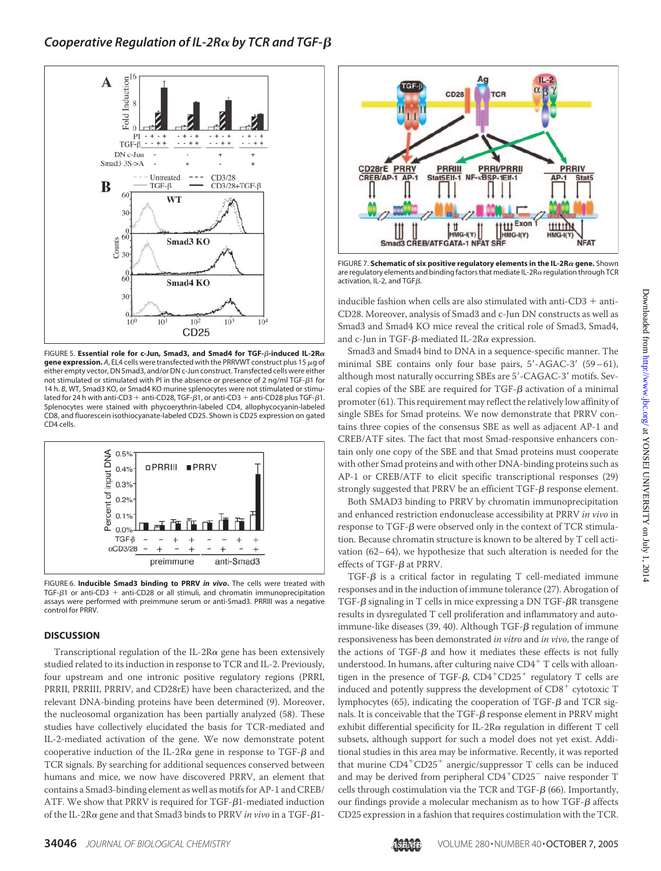

FIGURE 5. **Essential role for c-Jun, Smad3, and Smad4 for TGF-** $\beta$ **-induced IL-2R** $\alpha$ **gene expression.** A, EL4 cells were transfected with the PRRVWT construct plus 15  $\mu$ g of either empty vector, DN Smad3, and/or DN c-Jun construct. Transfected cells were either not stimulated or stimulated with PI in the absence or presence of 2 ng/ml TGF- $\beta$ 1 for 14 h. *B*, WT, Smad3 KO, or Smad4 KO murine splenocytes were not stimulated or stimulated for 24 h with anti-CD3 + anti-CD28, TGF- $\beta$ 1, or anti-CD3 + anti-CD28 plus TGF- $\beta$ 1. Splenocytes were stained with phycoerythrin-labeled CD4, allophycocyanin-labeled CD8, and fluorescein isothiocyanate-labeled CD25. Shown is CD25 expression on gated CD4 cells.



FIGURE 6. **Inducible Smad3 binding to PRRV** *in vivo***.** The cells were treated with TGF- $\beta$ 1 or anti-CD3 + anti-CD28 or all stimuli, and chromatin immunoprecipitation assays were performed with preimmune serum or anti-Smad3. PRRIII was a negative control for PRRV.

### **DISCUSSION**

Transcriptional regulation of the IL-2R $\alpha$  gene has been extensively studied related to its induction in response to TCR and IL-2. Previously, four upstream and one intronic positive regulatory regions (PRRI, PRRII, PRRIII, PRRIV, and CD28rE) have been characterized, and the relevant DNA-binding proteins have been determined (9). Moreover, the nucleosomal organization has been partially analyzed (58). These studies have collectively elucidated the basis for TCR-mediated and IL-2-mediated activation of the gene. We now demonstrate potent cooperative induction of the IL-2R $\alpha$  gene in response to TGF- $\beta$  and TCR signals. By searching for additional sequences conserved between humans and mice, we now have discovered PRRV, an element that contains a Smad3-binding element as well as motifs for AP-1 and CREB/  $ATF$ . We show that PRRV is required for TGF- $\beta$ 1-mediated induction of the IL-2Rα gene and that Smad3 binds to PRRV *in vivo* in a TGF-β1-



FIGURE 7. **Schematic of six positive regulatory elements in the IL-2Ra gene.** Shown are regulatory elements and binding factors that mediate IL-2R $\alpha$  regulation through TCR activation, IL-2, and TGF $\beta$ .

inducible fashion when cells are also stimulated with anti-CD3  $+$  anti-CD28. Moreover, analysis of Smad3 and c-Jun DN constructs as well as Smad3 and Smad4 KO mice reveal the critical role of Smad3, Smad4, and c-Jun in TGF- $\beta$ -mediated IL-2R $\alpha$  expression.

Smad3 and Smad4 bind to DNA in a sequence-specific manner. The minimal SBE contains only four base pairs, 5'-AGAC-3' (59-61), although most naturally occurring SBEs are 5'-CAGAC-3' motifs. Several copies of the SBE are required for  $TGF-\beta$  activation of a minimal promoter (61). This requirement may reflect the relatively low affinity of single SBEs for Smad proteins. We now demonstrate that PRRV contains three copies of the consensus SBE as well as adjacent AP-1 and CREB/ATF sites. The fact that most Smad-responsive enhancers contain only one copy of the SBE and that Smad proteins must cooperate with other Smad proteins and with other DNA-binding proteins such as AP-1 or CREB/ATF to elicit specific transcriptional responses (29) strongly suggested that PRRV be an efficient  $TGF-\beta$  response element.

Both SMAD3 binding to PRRV by chromatin immunoprecipitation and enhanced restriction endonuclease accessibility at PRRV *in vivo* in response to TGF- $\beta$  were observed only in the context of TCR stimulation. Because chromatin structure is known to be altered by T cell activation (62–64), we hypothesize that such alteration is needed for the effects of  $TGF- $\beta$  at PRRV.$ 

 $TGF-\beta$  is a critical factor in regulating T cell-mediated immune responses and in the induction of immune tolerance (27). Abrogation of TGF- $\beta$  signaling in T cells in mice expressing a DN TGF- $\beta$ R transgene results in dysregulated T cell proliferation and inflammatory and autoimmune-like diseases (39, 40). Although TGF- $\beta$  regulation of immune responsiveness has been demonstrated *in vitro* and *in vivo*, the range of the actions of TGF- $\beta$  and how it mediates these effects is not fully understood. In humans, after culturing naive  $CD4^+$  T cells with alloantigen in the presence of TGF- $\beta$ , CD4<sup>+</sup>CD25<sup>+</sup> regulatory T cells are induced and potently suppress the development of  $CD8<sup>+</sup>$  cytotoxic T lymphocytes (65), indicating the cooperation of TGF- $\beta$  and TCR signals. It is conceivable that the TGF- $\beta$  response element in PRRV might exhibit differential specificity for IL-2R $\alpha$  regulation in different T cell subsets, although support for such a model does not yet exist. Additional studies in this area may be informative. Recently, it was reported that murine  $\text{CD4}^+\text{CD25}^+$  anergic/suppressor T cells can be induced and may be derived from peripheral  $CD4^+CD25^-$  naive responder T cells through costimulation via the TCR and TGF- $\beta$  (66). Importantly, our findings provide a molecular mechanism as to how TGF- $\beta$  affects CD25 expression in a fashion that requires costimulation with the TCR.